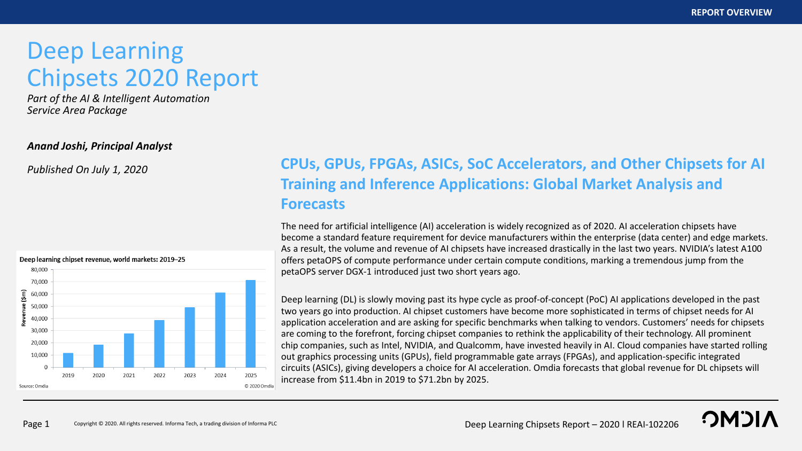**OMOI** 

# Deep Learning Chipsets 2020 Report

*Part of the AI & Intelligent Automation Service Area Package*

### *Anand Joshi, Principal Analyst*



## *Published On July 1, 2020* **CPUs, GPUs, FPGAs, ASICs, SoC Accelerators, and Other Chipsets for AI Training and Inference Applications: Global Market Analysis and Forecasts**

The need for artificial intelligence (AI) acceleration is widely recognized as of 2020. AI acceleration chipsets have become a standard feature requirement for device manufacturers within the enterprise (data center) and edge markets. As a result, the volume and revenue of AI chipsets have increased drastically in the last two years. NVIDIA's latest A100 offers petaOPS of compute performance under certain compute conditions, marking a tremendous jump from the petaOPS server DGX-1 introduced just two short years ago.

Deep learning (DL) is slowly moving past its hype cycle as proof-of-concept (PoC) AI applications developed in the past two years go into production. AI chipset customers have become more sophisticated in terms of chipset needs for AI application acceleration and are asking for specific benchmarks when talking to vendors. Customers' needs for chipsets are coming to the forefront, forcing chipset companies to rethink the applicability of their technology. All prominent chip companies, such as Intel, NVIDIA, and Qualcomm, have invested heavily in AI. Cloud companies have started rolling out graphics processing units (GPUs), field programmable gate arrays (FPGAs), and application-specific integrated circuits (ASICs), giving developers a choice for AI acceleration. Omdia forecasts that global revenue for DL chipsets will increase from \$11.4bn in 2019 to \$71.2bn by 2025.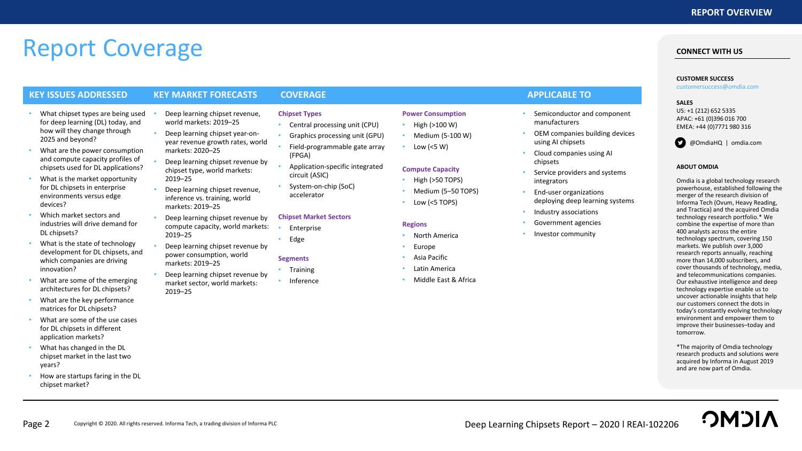# Report Coverage

### **KEY ISSUES ADDRESSED KEY MARKET FORECASTS COVERAGE APPLICABLE TO**

- What chipset types are being used for deep learning (DL) today, and how will they change through 2025 and beyond?
- What are the power consumption and compute capacity profiles of chipsets used for DL applications?
- What is the market opportunity for DL chipsets in enterprise environments versus edge devices?
- Which market sectors and industries will drive demand for DL chipsets?
- What is the state of technology development for DL chipsets, and which companies are driving innovation?
- What are some of the emerging architectures for DL chipsets?
- What are the key performance matrices for DL chipsets?
- What are some of the use cases for DL chipsets in different application markets?
- What has changed in the DL chipset market in the last two years?
- How are startups faring in the DL chipset market?
- Deep learning chipset revenue, world markets: 2019–25
- Deep learning chipset year-onyear revenue growth rates, world markets: 2020–25
- Deep learning chipset revenue by chipset type, world markets: 2019–25
- Deep learning chipset revenue, inference vs. training, world markets: 2019–25
- Deep learning chipset revenue by compute capacity, world markets: 2019–25
- Deep learning chipset revenue by power consumption, world markets: 2019–25
- Deep learning chipset revenue by market sector, world markets: 2019–25

**Chipset Types**

### • Central processing unit (CPU)

- Graphics processing unit (GPU)
- Field-programmable gate array (FPGA)
- Application-specific integrated circuit (ASIC)
- System-on-chip (SoC) accelerator

#### **Chipset Market Sectors**

**Enterprise** 

- 
- Inference
- **Power Consumption**
- High (>100 W)
- Medium (5-100 W)
- Low ( $<$ 5 W)

#### **Compute Capacity**

- High (>50 TOPS)
- Medium (5–50 TOPS)
- Low (<5 TOPS)

#### **Regions**

- North America
- Europe
- Asia Pacific
- Latin America
- Middle East & Africa

- Semiconductor and component manufacturers
- OEM companies building devices using AI chipsets
- Cloud companies using AI chipsets
- Service providers and systems integrators
- End-user organizations deploying deep learning systems
- Industry associations
- Government agencies
- Investor community

## **SALES**

US: +1 (212) 652 5335 APAC: +61 (0)396 016 700 EMEA: +44 (0)7771 980 316

**CONNECT WITH US**

**CUSTOMER SUCCESS** customersuccess@omdia.com



**ABOUT OMDIA**

Omdia is a global technology research powerhouse, established following the merger of the research division of Informa Tech (Ovum, Heavy Reading, and Tractica) and the acquired Omdia technology research portfolio.\* We combine the expertise of more than 400 analysts across the entire technology spectrum, covering 150 markets. We publish over 3,000 research reports annually, reaching more than 14,000 subscribers, and cover thousands of technology, media, and telecommunications companies. Our exhaustive intelligence and deep technology expertise enable us to uncover actionable insights that help our customers connect the dots in today's constantly evolving technology environment and empower them to improve their businesses–today and tomorrow.

\*The majority of Omdia technology research products and solutions were acquired by Informa in August 2019 and are now part of Omdia.

• Edge

## **Segments**

- Training
-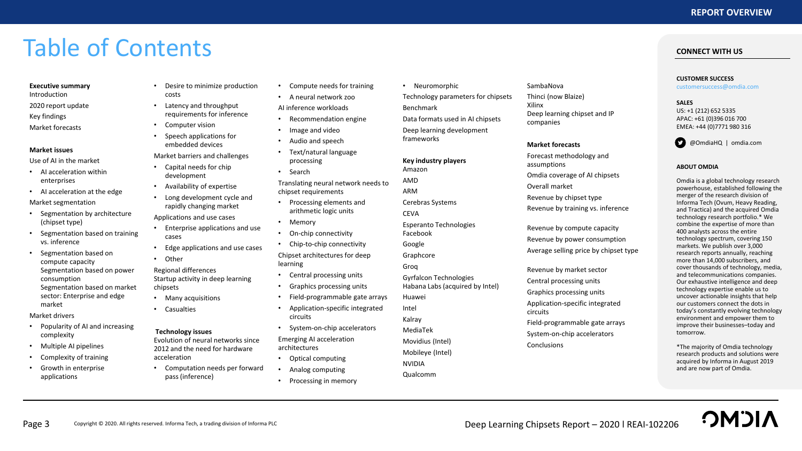# Table of Contents

#### **Executive summary**

Introduction 2020 report update Key findings

Market forecasts

#### **Market issues**

Use of AI in the market

- AI acceleration within enterprises
- AI acceleration at the edge

Market segmentation

- Segmentation by architecture (chipset type)
- Segmentation based on training vs. inference
- Segmentation based on compute capacity Segmentation based on power consumption Segmentation based on market sector: Enterprise and edge market

### Market drivers

- Popularity of AI and increasing complexity
- Multiple AI pipelines
- Complexity of training
- Growth in enterprise applications
- Desire to minimize production costs
- Latency and throughput requirements for inference
- Computer vision
- Speech applications for embedded devices

Market barriers and challenges

- Capital needs for chip development
- Availability of expertise
- Long development cycle and rapidly changing market

Applications and use cases

- Enterprise applications and use cases
- Edge applications and use cases
- Other

Regional differences Startup activity in deep learning chipsets

- Many acquisitions
- Casualties

### **Technology issues**

Evolution of neural networks since 2012 and the need for hardware acceleration

• Computation needs per forward pass (inference)

- Compute needs for training
- A neural network zoo AI inference workloads

- Recommendation engine
- Image and video • Audio and speech
- Text/natural language processing
- Search

Translating neural network needs to chipset requirements

- Processing elements and arithmetic logic units
- Memory
- On-chip connectivity
- Chip-to-chip connectivity Chipset architectures for deep learning
- Central processing units
- Graphics processing units
- Field-programmable gate arrays
- Application-specific integrated circuits

• System-on-chip accelerators Emerging AI acceleration

architectures

- Optical computing
- Analog computing
- Processing in memory

• Neuromorphic Technology parameters for chipsets Benchmark Data formats used in AI chipsets Deep learning development frameworks

**Key industry players** Amazon

AMD ARM Cerebras Systems **CEVA** 

Esperanto Technologies Facebook Google Graphcore Groq

Gyrfalcon Technologies Habana Labs (acquired by Intel)

Huawei

Intel Kalray MediaTek

Movidius (Intel)

Mobileye (Intel)

NVIDIA Qualcomm

- SambaNova Thinci (now Blaize) Xilinx Deep learning chipset and IP companies
	- **Market forecasts**

Forecast methodology and assumptions Omdia coverage of AI chipsets Overall market Revenue by chipset type

Revenue by training vs. inference

Revenue by compute capacity Revenue by power consumption Average selling price by chipset type

Revenue by market sector Central processing units Graphics processing units Application-specific integrated circuits Field-programmable gate arrays System-on-chip accelerators **Conclusions** 

**CUSTOMER SUCCESS** customersuccess@omdia.com

**CONNECT WITH US**

### **SALES**

US: +1 (212) 652 5335 APAC: +61 (0)396 016 700 EMEA: +44 (0)7771 980 316



#### **ABOUT OMDIA**

Omdia is a global technology research powerhouse, established following the merger of the research division of Informa Tech (Ovum, Heavy Reading, and Tractica) and the acquired Omdia technology research portfolio.\* We combine the expertise of more than 400 analysts across the entire technology spectrum, covering 150 markets. We publish over 3,000 research reports annually, reaching more than 14,000 subscribers, and cover thousands of technology, media, and telecommunications companies. Our exhaustive intelligence and deep technology expertise enable us to uncover actionable insights that help our customers connect the dots in today's constantly evolving technology environment and empower them to improve their businesses–today and tomorrow.

\*The majority of Omdia technology research products and solutions were acquired by Informa in August 2019 and are now part of Omdia.

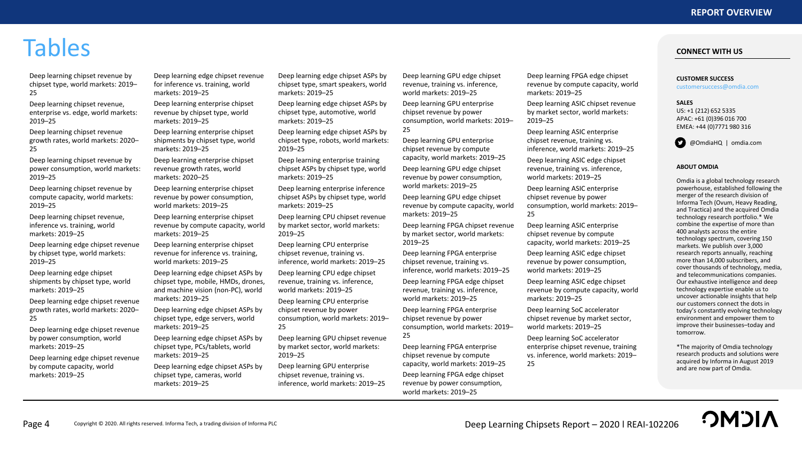# Tables

Deep learning chipset revenue by chipset type, world markets: 2019– 25

Deep learning chipset revenue, enterprise vs. edge, world markets: 2019–25

Deep learning chipset revenue growth rates, world markets: 2020– 25

Deep learning chipset revenue by power consumption, world markets: 2019–25

Deep learning chipset revenue by compute capacity, world markets: 2019–25

Deep learning chipset revenue, inference vs. training, world markets: 2019–25

Deep learning edge chipset revenue by chipset type, world markets: 2019–25

Deep learning edge chipset shipments by chipset type, world markets: 2019–25

Deep learning edge chipset revenue growth rates, world markets: 2020– 25

Deep learning edge chipset revenue by power consumption, world markets: 2019–25

Deep learning edge chipset revenue by compute capacity, world markets: 2019–25

Deep learning edge chipset revenue for inference vs. training, world markets: 2019–25

Deep learning enterprise chipset revenue by chipset type, world markets: 2019–25

Deep learning enterprise chipset shipments by chipset type, world markets: 2019–25

Deep learning enterprise chipset revenue growth rates, world markets: 2020–25

Deep learning enterprise chipset revenue by power consumption, world markets: 2019–25

Deep learning enterprise chipset revenue by compute capacity, world markets: 2019–25

Deep learning enterprise chipset revenue for inference vs. training, world markets: 2019–25

Deep learning edge chipset ASPs by chipset type, mobile, HMDs, drones, and machine vision (non-PC), world markets: 2019–25

Deep learning edge chipset ASPs by chipset type, edge servers, world markets: 2019–25

Deep learning edge chipset ASPs by chipset type, PCs/tablets, world markets: 2019–25

Deep learning edge chipset ASPs by chipset type, cameras, world markets: 2019–25

Deep learning edge chipset ASPs by chipset type, smart speakers, world markets: 2019–25

Deep learning edge chipset ASPs by chipset type, automotive, world markets: 2019–25

Deep learning edge chipset ASPs by chipset type, robots, world markets: 2019–25

Deep learning enterprise training chipset ASPs by chipset type, world markets: 2019–25

Deep learning enterprise inference chipset ASPs by chipset type, world markets: 2019–25

Deep learning CPU chipset revenue by market sector, world markets: 2019–25

Deep learning CPU enterprise chipset revenue, training vs. inference, world markets: 2019–25

Deep learning CPU edge chipset revenue, training vs. inference, world markets: 2019–25

Deep learning CPU enterprise chipset revenue by power consumption, world markets: 2019– 25

Deep learning GPU chipset revenue by market sector, world markets: 2019–25

Deep learning GPU enterprise chipset revenue, training vs. inference, world markets: 2019–25

Deep learning GPU edge chipset revenue, training vs. inference, world markets: 2019–25

Deep learning GPU enterprise chipset revenue by power consumption, world markets: 2019– 25

Deep learning GPU enterprise chipset revenue by compute capacity, world markets: 2019–25

Deep learning GPU edge chipset revenue by power consumption, world markets: 2019–25

Deep learning GPU edge chipset revenue by compute capacity, world markets: 2019–25

Deep learning FPGA chipset revenue by market sector, world markets: 2019–25

Deep learning FPGA enterprise chipset revenue, training vs. inference, world markets: 2019–25

Deep learning FPGA edge chipset revenue, training vs. inference, world markets: 2019–25

Deep learning FPGA enterprise chipset revenue by power consumption, world markets: 2019–

25 Deep learning FPGA enterprise chipset revenue by compute capacity, world markets: 2019–25 Deep learning FPGA edge chipset

revenue by power consumption, world markets: 2019–25

Deep learning FPGA edge chipset revenue by compute capacity, world markets: 2019–25

Deep learning ASIC chipset revenue by market sector, world markets: 2019–25

Deep learning ASIC enterprise chipset revenue, training vs. inference, world markets: 2019–25

Deep learning ASIC edge chipset revenue, training vs. inference, world markets: 2019–25

Deep learning ASIC enterprise chipset revenue by power consumption, world markets: 2019– 25

Deep learning ASIC enterprise chipset revenue by compute capacity, world markets: 2019–25

Deep learning ASIC edge chipset revenue by power consumption, world markets: 2019–25

Deep learning ASIC edge chipset revenue by compute capacity, world markets: 2019–25

Deep learning SoC accelerator chipset revenue by market sector, world markets: 2019–25

Deep learning SoC accelerator enterprise chipset revenue, training vs. inference, world markets: 2019– 25

**CUSTOMER SUCCESS** customersuccess@omdia.com

**SALES**

US: +1 (212) 652 5335 APAC: +61 (0)396 016 700 EMEA: +44 (0)7771 980 316

**CONNECT WITH US**

@OmdiaHQ | omdia.com

#### **ABOUT OMDIA**

Omdia is a global technology research powerhouse, established following the merger of the research division of Informa Tech (Ovum, Heavy Reading, and Tractica) and the acquired Omdia technology research portfolio.\* We combine the expertise of more than 400 analysts across the entire technology spectrum, covering 150 markets. We publish over 3,000 research reports annually, reaching more than 14,000 subscribers, and cover thousands of technology, media, and telecommunications companies. Our exhaustive intelligence and deep technology expertise enable us to uncover actionable insights that help our customers connect the dots in today's constantly evolving technology environment and empower them to improve their businesses–today and tomorrow.

\*The majority of Omdia technology research products and solutions were acquired by Informa in August 2019 and are now part of Omdia.

**OMDI**